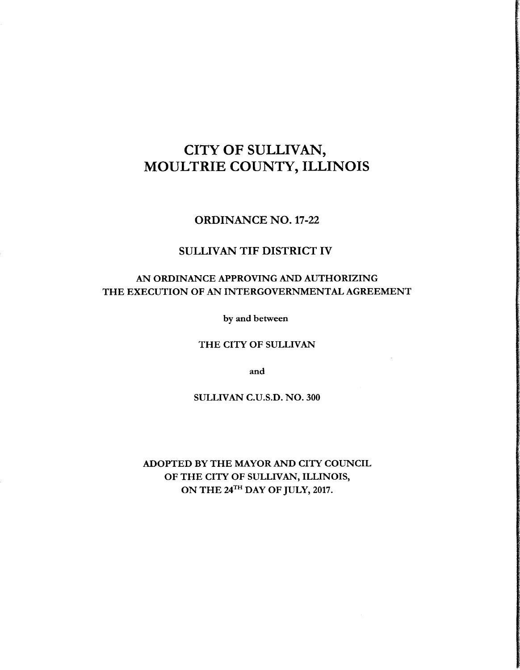# CITY OF SULLIVAN, MOULTRIE COUNTY, ILLINOIS

ORDINANCE NO. 17-22

# SULLIVAN TIF DISTRICT IV

# AN ORDINANCE APPROVING AND AUTHORIZING THE EXECUTION OF AN INTERGOVERNMENTAL AGREEMENT

by and between

THE CITY OF SULLIVAN

and

SULLIVAN C.U.S.D. NO. 300

ADOPTED BY THE MAYOR AND CITY COUNCIL OF THE CITY OF SULLIVAN, ILLINOIS, ON THE 24<sup>TH</sup> DAY OF JULY, 2017.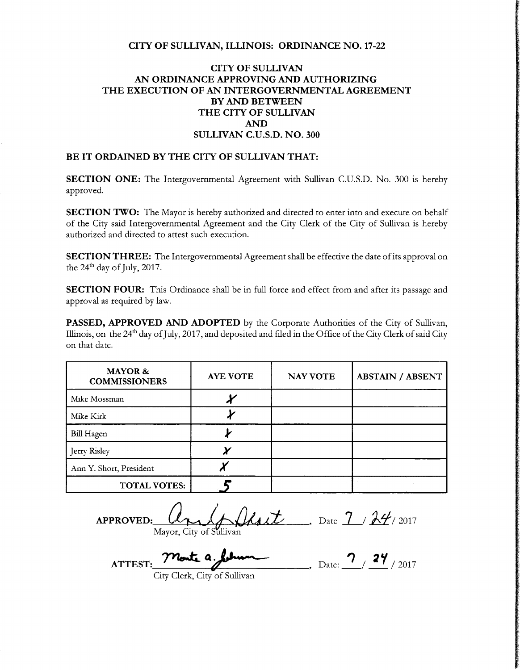### CITY OF SULLIVAN, ILLINOIS: ORDINANCE NO. 17-22

# CITY OF SULLIVAN AN ORDINANCE APPROVING AND AUTHORIZING THE EXECUTION OF AN INTERGOVERNMENTAL AGREEMENT BY AND BETWEEN THE CITY OF SULLIVAN AND SULLIVAN C.U.S.D. NO. 300

#### BE IT ORDAINED BY THE CITY OF SULLIVAN THAT:

| BE IT ORDAINED BY THE CITY OF SULLIVAN THAT:                                                                                                                                                                                                           |  |  |  |
|--------------------------------------------------------------------------------------------------------------------------------------------------------------------------------------------------------------------------------------------------------|--|--|--|
| SECTION ONE: The Intergovernmental Agreement with Sullivan C.U.S.D. No. 300 is hereby<br>pproved.                                                                                                                                                      |  |  |  |
| SECTION TWO: The Mayor is hereby authorized and directed to enter into and execute on behalf<br>of the City said Intergovernmental Agreement and the City Clerk of the City of Sullivan is hereby<br>authorized and directed to attest such execution. |  |  |  |
| <b>SECTION THREE:</b> The Intergovernmental Agreement shall be effective the date of its approval on the 24 <sup>th</sup> day of July, 2017.                                                                                                           |  |  |  |
| SECTION FOUR: This Ordinance shall be in full force and effect from and after its passage and<br>approval as required by law.                                                                                                                          |  |  |  |
| PASSED, APPROVED AND ADOPTED by the Corporate Authorities of the City of Sullivan,<br>Illinois, on the 24 <sup>th</sup> day of July, 2017, and deposited and filed in the Office of the City Clerk of said City<br>on that date.                       |  |  |  |
| <b>MAYOR &amp;</b><br>ABSTAIN / ABSENT<br><b>AYE VOTE</b><br><b>NAY VOTE</b><br><b>COMMISSIONERS</b>                                                                                                                                                   |  |  |  |
| Mike Mossman                                                                                                                                                                                                                                           |  |  |  |
|                                                                                                                                                                                                                                                        |  |  |  |
|                                                                                                                                                                                                                                                        |  |  |  |
|                                                                                                                                                                                                                                                        |  |  |  |
| Ann Y. Short, President                                                                                                                                                                                                                                |  |  |  |
| <b>TOTAL VOTES:</b>                                                                                                                                                                                                                                    |  |  |  |
| APPROVED: Mayor, City of Sullivan Date 7 24/2017<br>ATTEST: Monte a June 1 2/24/2017                                                                                                                                                                   |  |  |  |
|                                                                                                                                                                                                                                                        |  |  |  |

APPROVED:  $\mathcal{U}_{\uparrow\downarrow\downarrow}(\downarrow\downarrow\downarrow\downarrow\downarrow)$  Date  $7/2017$ Mayor, City of

 $\mathbf{t}_\mathbf{t}$  , ATTEST: Monte a february Date:  $2/2017$ 

City Clerk, City of Sullivan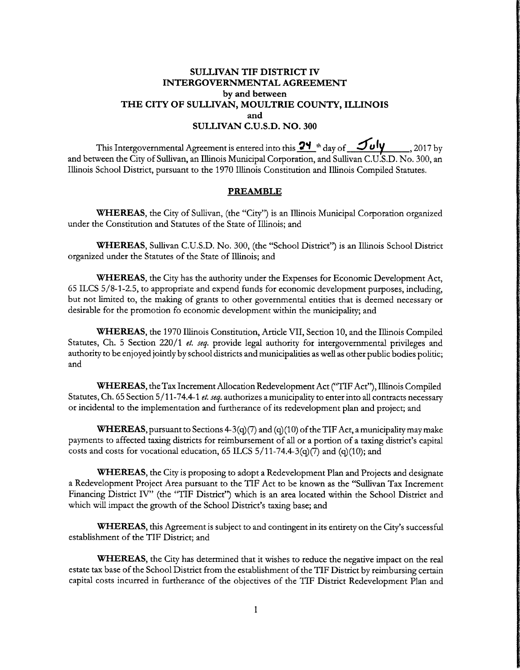# SULLIVAN TIF DISTRICT IV INTERGOVERNMENTAL AGREEMENT by and between THE CITY OF SULLIVAN, MOULTRIE COUNTY, ILLINOIS and SULLIVAN C.U.S.D. NO. 300

This Intergovernmental Agreement is entered into this  $\frac{24}{4}$ <sup>th</sup> day of  $\frac{4}{4}$  $J$ uly  $_{\rm 2017 \, by}$ and between the City of Sullivan, an Illinois Municipal Corporation, and Sullivan C.U.S.D. No. 300, an Illinois School District, pursuant to the 1970 Illinois Constitution and Illinois Compiled Statutes.

#### PREAMBLE

WHEREAS, the City of Sullivan, (the "City") is an Illinois Municipal Corporation organized under the Constitution and Statutes of the State of Illinois; and

WHEREAS, Sullivan C.U.S.D. No. 300, (the "School District") is an Illinois School District organized under the Statutes of the State of Illinois; and

WHEREAS, the City has the authority under the Expenses for Economic Development Act, 65 ILCS 5/ 8- 1- 2. 5, to appropriate and expend funds for economic development purposes, including, but not limited to, the making of grants to other governmental entities that is deemed necessary or desirable for the promotion fo economic development within the municipality; and

WHEREAS, the 1970 Illinois Constitution, Article VII, Section 10, and the Illinois Compiled Statutes, Ch. 5 Section 220/1 et. seq. provide legal authority for intergovernmental privileges and authority to be enjoyed jointly by school districts and municipalities as well as other public bodies politic; and

WHEREAS, the Tax Increment Allocation Redevelopment Act(" TIF Act"), Illinois Compiled Statutes, Ch. 65 Section 5/11-74.4-1 et. seq. authorizes a municipality to enter into all contracts necessary or incidental to the implementation and furtherance of its redevelopment plan and project; and

**WHEREAS**, pursuant to Sections  $4-3(q)(7)$  and (q)(10) of the TIF Act, a municipality may make payments to affected taxing districts for reimbursement of all or a portion of a taxing district's capital costs and costs for vocational education, 65 ILCS  $5/11-74.4-3(q)(7)$  and (q)(10); and

WHEREAS, the City is proposing to adopt <sup>a</sup> Redevelopment Plan and Projects and designate <sup>a</sup> Redevelopment Project Area pursuant to the TIF Act to be known as the " Sullivan Tax Increment Financing District IV" (the "TIF District") which is an area located within the School District and which will impact the growth of the School District's taxing base; and

WHEREAS, this Agreement is subject to and contingent in its entirety on the City's successful establishment of the TIF District; and

WHEREAS, the City has determined that it wishes to reduce the negative impact on the real estate tax base of the School District from the establishment of the TIF District by reimbursing certain capital costs incurred in furtherance of the objectives of the TIF District Redevelopment Plan and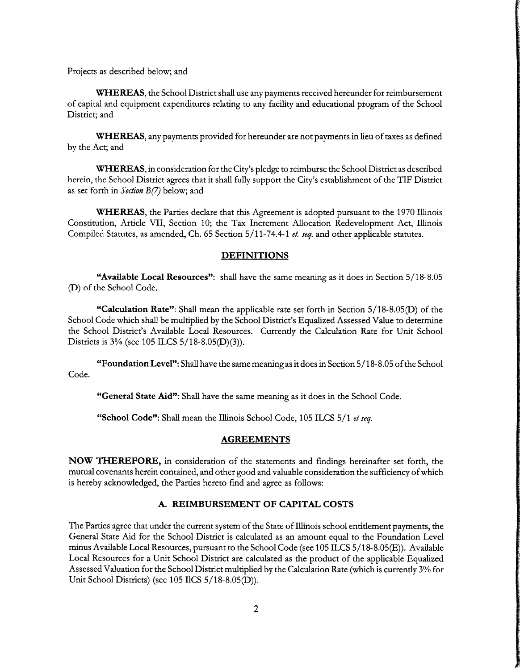Projects as described below; and

WHEREAS, the School District shall use any payments received hereunder for reimbursement of capital and equipment expenditures relating to any facility and educational program of the School District; and

WHEREAS, any payments provided for hereunder are not payments in lieu of taxes as defined by the Act; and

WHEREAS, in consideration for the City's pledge to reimburse the School District as described herein, the School District agrees that it shall fully support the City's establishment of the TIF District as set forth in Section  $B(7)$  below; and

WHEREAS, the Parties declare that this Agreement is adopted pursuant to the 1970 Illinois Constitution, Article VII, Section 10; the Tax Increment Allocation Redevelopment Act, Illinois Compiled Statutes, as amended, Ch. 65 Section 5/11-74.4-1 et. seq. and other applicable statutes.

#### **DEFINITIONS**

Available Local Resources": shall have the same meaning as it does in Section 5/ 18- 8.05 D) of the School Code.

"Calculation Rate": Shall mean the applicable rate set forth in Section 5/18-8.05(D) of the School Code which shall be multiplied by the School District's Equalized Assessed Value to determine the School District's Available Local Resources. Currently the Calculation Rate for Unit School Districts is  $3\%$  (see 105 ILCS  $5/18-8.05(D)(3)$ ).

"Foundation Level": Shall have the same meaning as it does in Section  $5/18-8.05$  of the School Code.

"General State Aid": Shall have the same meaning as it does in the School Code.

"School Code": Shall mean the Illinois School Code, 105 ILCS 5/1 et seq.

#### AGREEMENTS

NOW THEREFORE, in consideration of the statements and findings hereinafter set forth, the mutual covenants herein contained, and other good and valuable consideration the sufficiency ofwhich is hereby acknowledged, the Parties hereto find and agree as follows:

## A. REIMBURSEMENT OF CAPITAL COSTS

The Parties agree that under the current system of the State of Illinois school entitlement payments, the General State Aid for the School District is calculated as an amount equal to the Foundation Level minus Available Local Resources, pursuant to the School Code (see 105 ILCS 5/18-8.05(E)). Available Local Resources for <sup>a</sup> Unit School District are calculated as the product of the applicable Equalized Assessed Valuation for the School District multiplied by the Calculation Rate( which is currently 3% for Unit School Districts) (see 105 IlCS 5/18-8.05(D)).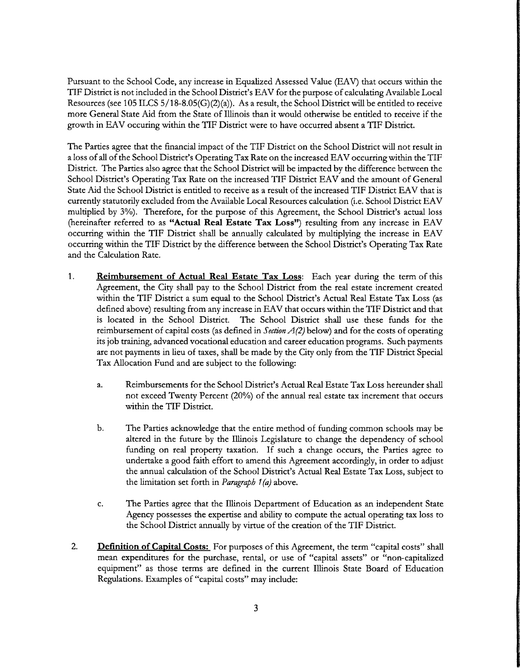Pursuant to the School Code, any increase in Equalized Assessed Value (EAV) that occurs within the TIF District is not included in the School District's EAV for the purpose of calculating Available Local Resources (see 105 ILCS 5/18-8.05(G)(2)(a)). As a result, the School District will be entitled to receive more General State Aid from the State of Illinois than it would otherwise be entitled to receive if the growth in EAV occuring within the TIF District were to have occurred absent <sup>a</sup> TIF District.

The Parties agree that the financial impact of the TIF District on the School District will not result in a loss of all of the School District's Operating Tax Rate on the increased EAV occurring within the TIF District. The Parties also agree that the School District will be impacted by the difference between the School District's Operating Tax Rate on the increased TIF District EAV and the amount of General State Aid the School District is entitled to receive as <sup>a</sup> result of the increased TIF District EAV that is currently statutorily excluded from the Available Local Resources calculation( i.e. School District EAV multiplied by 3%). Therefore, for the purpose of this Agreement, the School District's actual loss (hereinafter referred to as "Actual Real Estate Tax Loss") resulting from any increase in EAV occurring within the TIF District shall be annually calculated by multiplying the increase in EAV occurring within the TIF District by the difference between the School District's Operating Tax Rate and the Calculation Rate.

- 1. Reimbursement of Actual Real Estate Tax Loss: Each year during the term of this Agreement, the City shall pay to the School District from the real estate increment created within the TIF District a sum equal to the School District's Actual Real Estate Tax Loss (as defined above) resulting from any increase in EAV that occurs within the TIF District and that is located in the School District. The School District shall use these funds for the reimbursement of capital costs (as defined in Section  $A(2)$  below) and for the costs of operating its job training, advanced vocational education and career education programs. Such payments are not payments in lieu of taxes, shall be made by the City only from the TIF District Special Tax Allocation Fund and are subject to the following:
	- a. Reimbursements for the School District' <sup>s</sup> Actual Real Estate Tax Loss hereunder shall not exceed Twenty Percent (20%) of the annual real estate tax increment that occurs within the TIF District.
	- b. The Parties acknowledge that the entire method of funding common schools may be altered in the future by the Illinois Legislature to change the dependency of school funding on real property taxation. If such <sup>a</sup> change occurs, the Parties agree to undertake a good faith effort to amend this Agreement accordingly, in order to adjust the annual calculation of the School District's Actual Real Estate Tax Loss, subject to the limitation set forth in *Paragraph*  $1(a)$  above.
	- C. The Parties agree that the Illinois Department of Education as an independent State Agency possesses the expertise and ability to compute the actual operating tax loss to the School District annually by virtue of the creation of the TIF District.
- 2. **Definition of Capital Costs:** For purposes of this Agreement, the term "capital costs" shall mean expenditures for the purchase, rental, or use of "capital assets" or " non-capitalized equipment" as those terms are defined in the current Illinois State Board of Education Regulations. Examples of "capital costs" may include: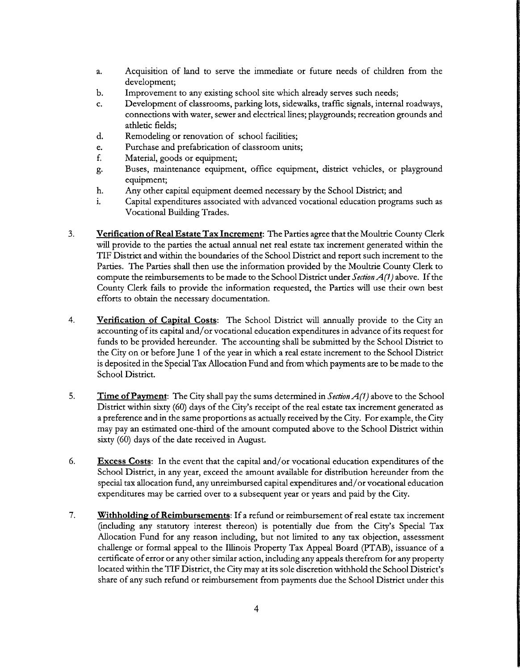- a. Acquisition of land to serve the immediate or future needs of children from the development;
- b. Improvement to any existing school site which already serves such needs;
- C. Development of classrooms, parking lots, sidewalks, traffic signals, internal roadways, connections with water, sewer and electrical lines; playgrounds; recreation grounds and athletic fields;
- d. Remodeling or renovation of school facilities;
- e. Purchase and prefabrication of classroom units;
- f. Material, goods or equipment;
- g. Buses, maintenance equipment, office equipment, district vehicles, or playground equipment;
- h. Any other capital equipment deemed necessary by the School District; and<br>i. Capital expenditures associated with advanced vocational education program
- Capital expenditures associated with advanced vocational education programs such as Vocational Building Trades.
- 3. Verification of Real Estate Tax Increment: The Parties agree that the Moultrie County Clerk will provide to the parties the actual annual net real estate tax increment generated within the TIF District and within the boundaries of the School District and report such increment to the Parties. The Parties shall then use the information provided by the Moultrie County Clerk to compute the reimbursements to be made to the School District under Section  $A(1)$  above. If the County Clerk fails to provide the information requested, the Parties will use their own best efforts to obtain the necessary documentation.
- 4. Verification of Capital Costs: The School District will annually provide to the City an accounting of its capital and/ or vocational education expenditures in advance of its request for funds to be provided hereunder. The accounting shall be submitted by the School District to the City on or before June <sup>1</sup> of the year in which <sup>a</sup> real estate increment to the School District is deposited in the Special Tax Allocation Fund and from which payments are to be made to the School District.
- 5. Time of Payment: The City shall pay the sums determined in *Section A(1)* above to the School District within sixty (60) days of the City's receipt of the real estate tax increment generated as <sup>a</sup> preference and in the same proportions as actually received by the City. For example, the City may pay an estimated one-third of the amount computed above to the School District within sixty (60) days of the date received in August.
- 6. Excess Costs: In the event that the capital and/ or vocational education expenditures of the School District, in any year, exceed the amount available for distribution hereunder from the special tax allocation fund, any unreimbursed capital expenditures and/ or vocational education expenditures may be carried over to a subsequent year or years and paid by the City.
- 7. Withholding of Reimbursements: If a refund or reimbursement of real estate tax increment (including any statutory interest thereon) is potentially due from the City's Special Tax Allocation Fund for any reason including, but not limited to any tax objection, assessment challenge or formal appeal to the Illinois Property Tax Appeal Board (PTAB), issuance of a certificate of error or any other similar action, including any appeals therefrom for any property located within the TIF District, the City may at its sole discretion withhold the School District's share of any such refund or reimbursement from payments due the School District under this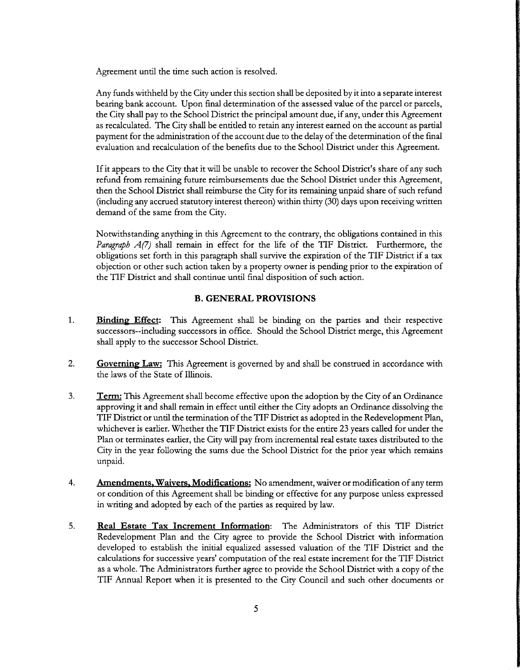Agreement until the time such action is resolved.

Any funds withheld by the City under this section shall be deposited by it into <sup>a</sup> separate interest bearing bank account. Upon final determination of the assessed value of the parcel or parcels, the City shall pay to the School District the principal amount due, if any, under this Agreement as recalculated. The City shall be entitled to retain any interest earned on the account as partial payment for the administration of the account due to the delay of the determination of the final evaluation and recalculation of the benefits due to the School District under this Agreement.

Ifit appears to the City that it will be unable to recover the School District's share of any such refund from remaining future reimbursements due the School District under this Agreement, then the School District shall reimburse the City for its remaining unpaid share of such refund including any accrued statutory interest thereon) within thirty( 30) days upon receiving written demand of the same from the City.

Notwithstanding anything in this Agreement to the contrary, the obligations contained in this *Paragraph A(7)* shall remain in effect for the life of the TIF District. Furthermore, the obligations set forth in this paragraph shall survive the expiration of the TIF District if <sup>a</sup> tax objection or other such action taken by <sup>a</sup> property owner is pending prior to the expiration of the TIF District and shall continue until final disposition of such action.

## B. GENERAL PROVISIONS

- 1. Binding Effect: This Agreement shall be binding on the parties and their respective successors-- including successors in office. Should the School District merge, this Agreement shall apply to the successor School District.
- 2. Governing Law: This Agreement is governed by and shall be construed in accordance with the laws of the State of Illinois.
- 3. Term: This Agreement shall become effective upon the adoption by the City of an Ordinance approving it and shall remain in effect until either the City adopts an Ordinance dissolving the TIF District or until the termination of the TIF District as adopted in the Redevelopment Plan, whichever is earlier. Whether the TIF District exists for the entire 23 years called for under the Plan or terminates earlier, the City will pay from incremental real estate taxes distributed to the City in the year following the sums due the School District for the prior year which remains unpaid.
- 4. Amendments, Waivers, Modifications: No amendment, waiver or modification of any term or condition of this Agreement shall be binding or effective for any purpose unless expressed in writing and adopted by each of the parties as required by law.
- 5. Real Estate Tax Increment Information: The Administrators of this TIF District Redevelopment Plan and the City agree to provide the School District with information developed to establish the initial equalized assessed valuation of the TIF District and the calculations for successive years' computation of the real estate increment for the TIF District as <sup>a</sup> whole. The Administrators further agree to provide the School District with <sup>a</sup> copy of the TIF Annual Report when it is presented to the City Council and such other documents or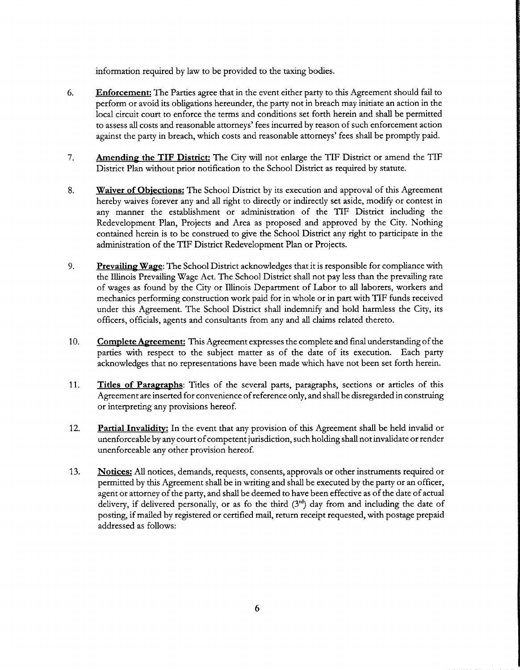information required by law to be provided to the taxing bodies.

- 6. Enforcement: The Parties agree that in the event either party to this Agreement should fail to perform or avoid its obligations hereunder, the parry not in breach may initiate an action in the local circuit court to enforce the terms and conditions set forth herein and shall be permitted to assess all costs and reasonable attorneys' fees incurred by reason of such enforcement action against the party in breach, which costs and reasonable attorneys' fees shall be promptly paid.
- 7. Amending the TIF District: The City will not enlarge the TIF District or amend the TIF District Plan without prior notification to the School District as required by statute.
- 8. Waiver of Objections: The School District by its execution and approval of this Agreement hereby waives forever any and all right to directly or indirectly set aside, modify or contest in any manner the establishment or administration of the TIF District including the Redevelopment Plan, Projects and Area as proposed and approved by the City. Nothing contained herein is to be construed to give the School District any right to participate in the administration of the TIF District Redevelopment Plan or Projects.
- 9. Prevailing Wage: The School District acknowledges that it is responsible for compliance with the Illinois Prevailing Wage Act. The School District shall not pay less than the prevailing rate of wages as found by the City or Illinois Department of Labor to all laborers, workers and mechanics performing construction work paid for in whole or in part with TIF funds received under this Agreement. The School District shall indemnify and hold harmless the City, its officers, officials, agents and consultants from any and all claims related thereto.
- 10. Complete Agreement: This Agreement expresses the complete and final understanding of the parties with respect to the subject matter as of the date of its execution. Each party acknowledges that no representations have been made which have not been set forth herein.
- 11. Titles of Paragraphs: Titles of the several parts, paragraphs, sections or articles of this Agreement are inserted for convenience ofreference only, and shall be disregarded in construing or interpreting any provisions hereof.
- 12. Partial Invalidity: In the event that any provision of this Agreement shall be held invalid or unenforceable by any court of competent jurisdiction, such holding shall not invalidate or render unenforceable any other provision hereof.
- 13. Notices: All notices, demands, requests, consents, approvals or other instruments required or permitted by this Agreement shall be in writing and shall be executed by the party or an officer, agent or attorney of the party, and shall be deemed to have been effective as of the date of actual delivery, if delivered personally, or as fo the third  $(3<sup>rd</sup>)$  day from and including the date of posting, if mailed by registered or certified mail, return receipt requested, with postage prepaid addressed as follows: